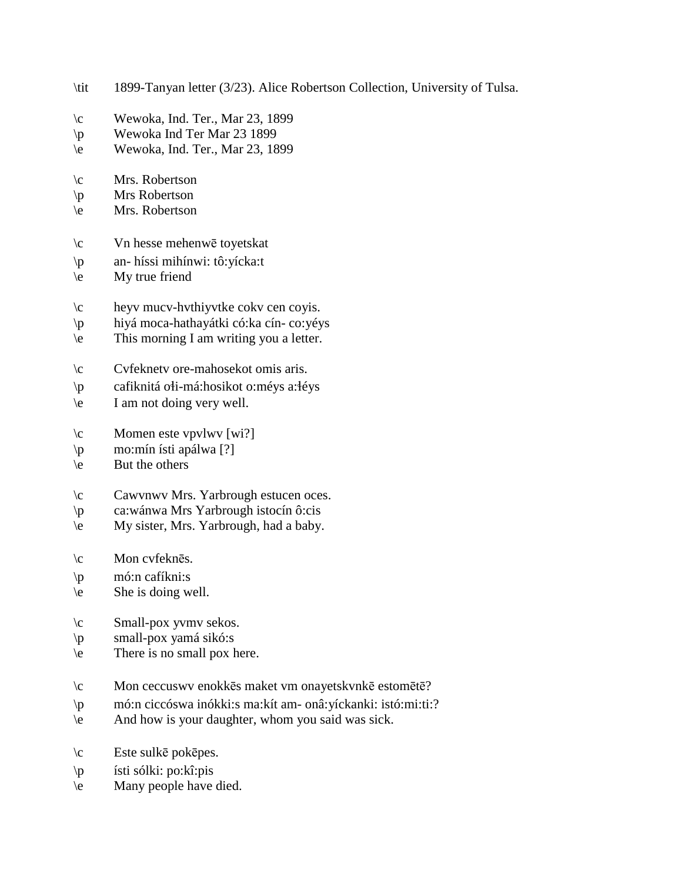- \tit 1899-Tanyan letter (3/23). Alice Robertson Collection, University of Tulsa.
- $\c$  Wewoka, Ind. Ter., Mar 23, 1899
- \p Wewoka Ind Ter Mar 23 1899
- \e Wewoka, Ind. Ter., Mar 23, 1899
- \c Mrs. Robertson
- \p Mrs Robertson
- \e Mrs. Robertson
- \c Vn hesse mehenwē toyetskat
- \p an- híssi mihínwi: tô:yícka:t
- $\leq$  My true friend
- \c heyv mucv-hvthiyvtke cokv cen coyis.
- \p hiyá moca-hathayátki có:ka cín- co:yéys
- \e This morning I am writing you a letter.
- \c Cvfeknetv ore-mahosekot omis aris.
- \p cafiknitá o!i-má:hosikot o:méys a:!éys
- \e I am not doing very well.
- $\c$  Momen este vpvlwv [wi?]
- \p mo:mín ísti apálwa [?]
- $\leq$  But the others
- \c Cawvnwv Mrs. Yarbrough estucen oces.
- \p ca:wánwa Mrs Yarbrough istocín ô:cis
- \e My sister, Mrs. Yarbrough, had a baby.
- \c Mon cvfeknēs.
- \p mó:n cafíkni:s
- $\le$  She is doing well.
- \c Small-pox yvmv sekos.
- \p small-pox yamá sikó:s
- \e There is no small pox here.
- \c Mon ceccuswv enokkēs maket vm onayetskvnkē estomētē?
- \p mó:n ciccóswa inókki:s ma:kít am- onâ:yíckanki: istó:mi:ti:?
- \e And how is your daughter, whom you said was sick.
- $\c$  Este sulkē pokēpes.
- \p ísti sólki: po:kî:pis
- \e Many people have died.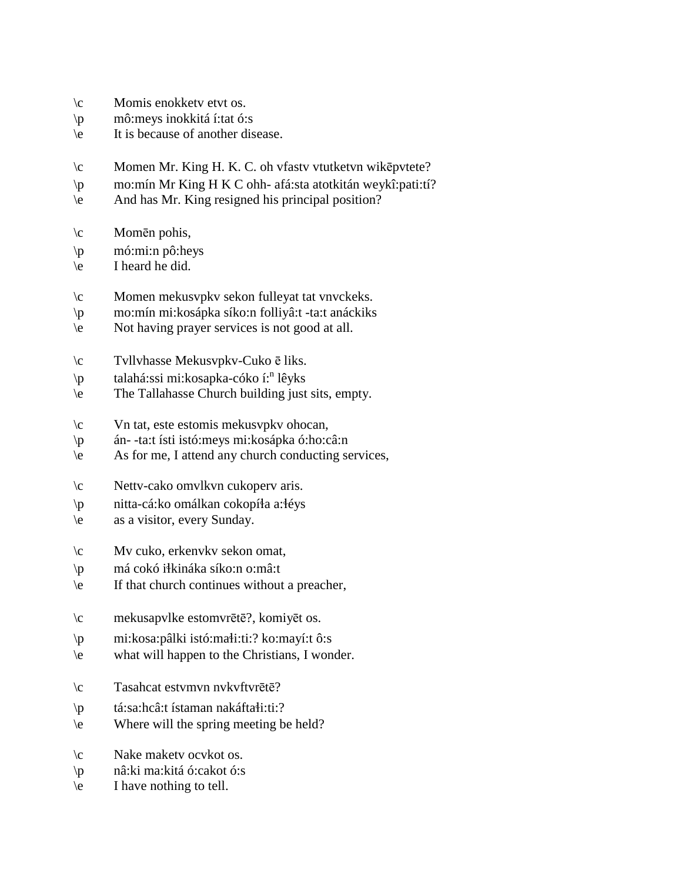- \c Momis enokketv etvt os.
- \p mô:meys inokkitá í:tat ó:s
- \e It is because of another disease.
- \c Momen Mr. King H. K. C. oh vfastv vtutketvn wikēpvtete?
- \p mo:mín Mr King H K C ohh- afá:sta atotkitán weykî:pati:tí?
- \e And has Mr. King resigned his principal position?
- \c Momēn pohis,
- \p mó:mi:n pô:heys
- \e I heard he did.
- \c Momen mekusvpkv sekon fulleyat tat vnvckeks.
- \p mo:mín mi:kosápka síko:n folliyâ:t -ta:t anáckiks
- \e Not having prayer services is not good at all.
- \c Tvllvhasse Mekusvpkv-Cuko ē liks.
- \p talahá:ssi mi:kosapka-cóko í:<sup>n</sup> lêyks
- \e The Tallahasse Church building just sits, empty.
- \c Vn tat, este estomis mekusvpkv ohocan,
- \p án- -ta:t ísti istó:meys mi:kosápka ó:ho:câ:n
- $\leq$  As for me, I attend any church conducting services,
- \c Nettv-cako omvlkvn cukoperv aris.
- $\pi$  nitta-cá:ko omálkan cokopíła a: léys
- \e as a visitor, every Sunday.
- \c Mv cuko, erkenvkv sekon omat,
- \p má cokó i!kináka síko:n o:mâ:t
- \e If that church continues without a preacher,
- \c mekusapvlke estomvrētē?, komiyēt os.
- $\pi$  mi:kosa:pâlki istó:ma $\pi$ i:ti:? ko:mayí:t ô:s
- \e what will happen to the Christians, I wonder.
- \c Tasahcat estvmvn nvkvftvrētē?
- $\pi$  tá:sa:hcâ:t ístaman nakáfta $\text{d}$ i:ti:?
- \e Where will the spring meeting be held?
- \c Nake maketv ocvkot os.
- \p nâ:ki ma:kitá ó:cakot ó:s
- \e I have nothing to tell.